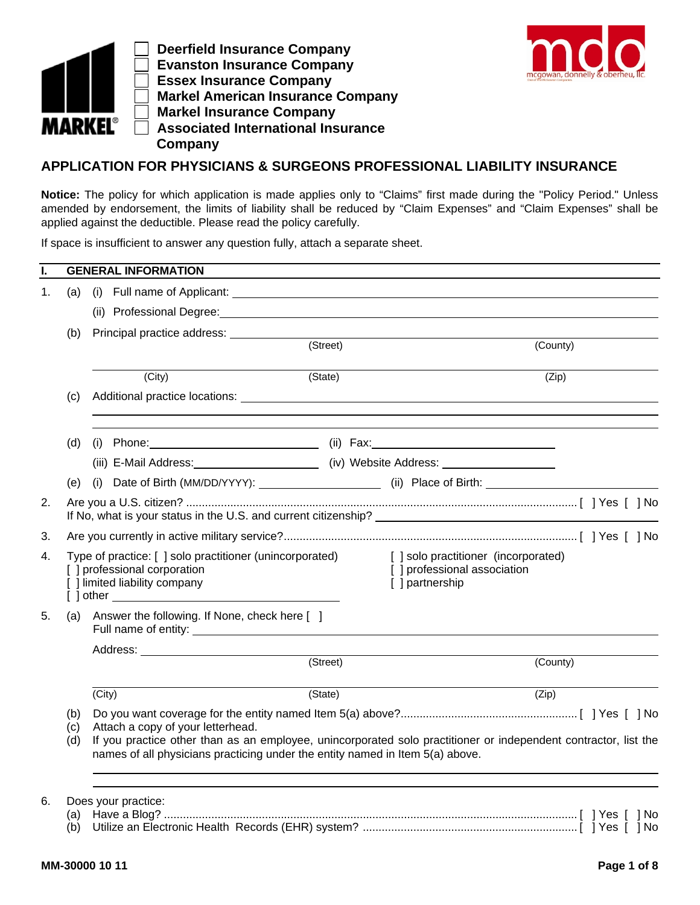

 **Deerfield Insurance Company Evanston Insurance Company Essex Insurance Company Markel American Insurance Company Markel Insurance Company Associated International Insurance Company** 



## **APPLICATION FOR PHYSICIANS & SURGEONS PROFESSIONAL LIABILITY INSURANCE**

**Notice:** The policy for which application is made applies only to "Claims" first made during the "Policy Period." Unless amended by endorsement, the limits of liability shall be reduced by "Claim Expenses" and "Claim Expenses" shall be applied against the deductible. Please read the policy carefully.

If space is insufficient to answer any question fully, attach a separate sheet.

| ı. |                   | <b>GENERAL INFORMATION</b>                                                                                                                                                                                                            |          |                                                                                                                                                                                                                                |  |  |
|----|-------------------|---------------------------------------------------------------------------------------------------------------------------------------------------------------------------------------------------------------------------------------|----------|--------------------------------------------------------------------------------------------------------------------------------------------------------------------------------------------------------------------------------|--|--|
| 1. | (a)               |                                                                                                                                                                                                                                       |          |                                                                                                                                                                                                                                |  |  |
|    |                   |                                                                                                                                                                                                                                       |          | (ii) Professional Degree: Management of the Contract of the Contract of the Contract of the Contract of the Contract of the Contract of the Contract of the Contract of the Contract of the Contract of the Contract of the Co |  |  |
|    | (b)               |                                                                                                                                                                                                                                       |          |                                                                                                                                                                                                                                |  |  |
|    |                   |                                                                                                                                                                                                                                       | (Street) | (County)                                                                                                                                                                                                                       |  |  |
|    |                   | (City)                                                                                                                                                                                                                                | (State)  | (Zip)                                                                                                                                                                                                                          |  |  |
|    | (c)               |                                                                                                                                                                                                                                       |          |                                                                                                                                                                                                                                |  |  |
|    | (d)               |                                                                                                                                                                                                                                       |          |                                                                                                                                                                                                                                |  |  |
|    |                   |                                                                                                                                                                                                                                       |          |                                                                                                                                                                                                                                |  |  |
|    | (e)               |                                                                                                                                                                                                                                       |          | (i) Date of Birth (MM/DD/YYYY): _______________________(ii) Place of Birth: ________________________                                                                                                                           |  |  |
| 2. |                   |                                                                                                                                                                                                                                       |          |                                                                                                                                                                                                                                |  |  |
| 3. |                   |                                                                                                                                                                                                                                       |          |                                                                                                                                                                                                                                |  |  |
| 4. |                   | Type of practice: [] solo practitioner (unincorporated)<br>[ ] professional corporation<br>[ ] limited liability company                                                                                                              |          | [] solo practitioner (incorporated)<br>[ ] professional association<br>[ ] partnership                                                                                                                                         |  |  |
| 5. | (a)               | Answer the following. If None, check here [ ]                                                                                                                                                                                         |          |                                                                                                                                                                                                                                |  |  |
|    |                   |                                                                                                                                                                                                                                       | (Street) |                                                                                                                                                                                                                                |  |  |
|    |                   |                                                                                                                                                                                                                                       | (County) |                                                                                                                                                                                                                                |  |  |
|    |                   | (City)                                                                                                                                                                                                                                | (State)  | (Zip)                                                                                                                                                                                                                          |  |  |
|    | (b)<br>(c)<br>(d) | Attach a copy of your letterhead.<br>If you practice other than as an employee, unincorporated solo practitioner or independent contractor, list the<br>names of all physicians practicing under the entity named in Item 5(a) above. |          |                                                                                                                                                                                                                                |  |  |
| 6. |                   | Does your practice:                                                                                                                                                                                                                   |          |                                                                                                                                                                                                                                |  |  |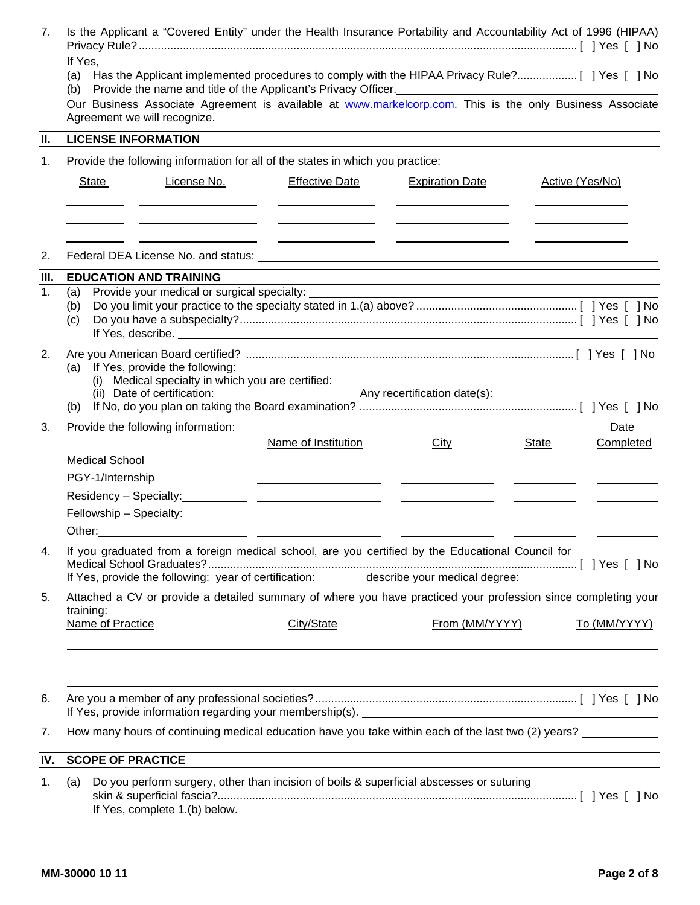| 7.         | Is the Applicant a "Covered Entity" under the Health Insurance Portability and Accountability Act of 1996 (HIPAA)                                                                                                                                |                                                                                                                                                            |                                                                                                                                                                                                                                      |                                                                                                                                                                                                                                                                                                                                                                                                                                                                                                                                                        |  |  |  |  |
|------------|--------------------------------------------------------------------------------------------------------------------------------------------------------------------------------------------------------------------------------------------------|------------------------------------------------------------------------------------------------------------------------------------------------------------|--------------------------------------------------------------------------------------------------------------------------------------------------------------------------------------------------------------------------------------|--------------------------------------------------------------------------------------------------------------------------------------------------------------------------------------------------------------------------------------------------------------------------------------------------------------------------------------------------------------------------------------------------------------------------------------------------------------------------------------------------------------------------------------------------------|--|--|--|--|
|            | If Yes,                                                                                                                                                                                                                                          |                                                                                                                                                            |                                                                                                                                                                                                                                      |                                                                                                                                                                                                                                                                                                                                                                                                                                                                                                                                                        |  |  |  |  |
|            | Our Business Associate Agreement is available at www.markelcorp.com. This is the only Business Associate<br>Agreement we will recognize.                                                                                                         |                                                                                                                                                            |                                                                                                                                                                                                                                      |                                                                                                                                                                                                                                                                                                                                                                                                                                                                                                                                                        |  |  |  |  |
| Ш.         | <b>LICENSE INFORMATION</b>                                                                                                                                                                                                                       |                                                                                                                                                            |                                                                                                                                                                                                                                      |                                                                                                                                                                                                                                                                                                                                                                                                                                                                                                                                                        |  |  |  |  |
| 1.         | Provide the following information for all of the states in which you practice:                                                                                                                                                                   |                                                                                                                                                            |                                                                                                                                                                                                                                      |                                                                                                                                                                                                                                                                                                                                                                                                                                                                                                                                                        |  |  |  |  |
|            | License No.<br>State<br><u> Andreas Andreas Andreas Andreas Andreas Andreas Andreas Andreas Andreas Andreas Andreas Andreas Andreas Andreas</u>                                                                                                  | <b>Effective Date</b><br><u> Alexandria (m. 1858)</u>                                                                                                      | <b>Expiration Date</b><br><u> 1980 - Andrea Albert III, poet e pre</u> sentante de la propiesa de la propiesa de la propiesa de la propiesa de                                                                                       | Active (Yes/No)<br>and the control of the control of the con-                                                                                                                                                                                                                                                                                                                                                                                                                                                                                          |  |  |  |  |
| 2.         |                                                                                                                                                                                                                                                  | <u> Albanya (Albanya Albanya)</u><br><u> Alexandria de la contextual de la contextual de la contextual de la contextual de la contextual de la context</u> |                                                                                                                                                                                                                                      | $\begin{array}{c} \begin{array}{c} \begin{array}{c} \begin{array}{c} \end{array} \\ \end{array} \end{array} \end{array} \end{array} \end{array} \begin{array}{c} \begin{array}{c} \begin{array}{c} \end{array} \\ \end{array} \end{array} \end{array} \begin{array}{c} \begin{array}{c} \begin{array}{c} \end{array} \\ \end{array} \end{array} \end{array} \begin{array}{c} \begin{array}{c} \end{array} \end{array} \end{array} \begin{array}{c} \begin{array}{c} \end{array} \end{array} \end{array} \begin{array}{c} \begin{array}{c} \end{array}$ |  |  |  |  |
|            |                                                                                                                                                                                                                                                  |                                                                                                                                                            |                                                                                                                                                                                                                                      |                                                                                                                                                                                                                                                                                                                                                                                                                                                                                                                                                        |  |  |  |  |
| III.<br>1. | <b>EDUCATION AND TRAINING</b><br>Provide your medical or surgical specialty:<br>(a)                                                                                                                                                              |                                                                                                                                                            |                                                                                                                                                                                                                                      | and the control of the control of the control of the control of the control of the control of the control of the                                                                                                                                                                                                                                                                                                                                                                                                                                       |  |  |  |  |
|            | (b)<br>(c)<br>If Yes, describe. <u>The annual section</u> of the second section of the second section of the second section of the second section of the second section of the second section of the second section of the second section of the |                                                                                                                                                            | <u> 1980 - Johann Barn, mars ann an t-Amhain Aonaichte ann an t-Amhain Aonaichte ann an t-Amhain Aonaichte ann an</u>                                                                                                                |                                                                                                                                                                                                                                                                                                                                                                                                                                                                                                                                                        |  |  |  |  |
| 2.         | (a) If Yes, provide the following:                                                                                                                                                                                                               |                                                                                                                                                            |                                                                                                                                                                                                                                      |                                                                                                                                                                                                                                                                                                                                                                                                                                                                                                                                                        |  |  |  |  |
|            |                                                                                                                                                                                                                                                  |                                                                                                                                                            |                                                                                                                                                                                                                                      |                                                                                                                                                                                                                                                                                                                                                                                                                                                                                                                                                        |  |  |  |  |
| 3.         | Provide the following information:                                                                                                                                                                                                               | Name of Institution                                                                                                                                        | City                                                                                                                                                                                                                                 | Date<br><b>State</b><br>Completed                                                                                                                                                                                                                                                                                                                                                                                                                                                                                                                      |  |  |  |  |
|            | <b>Medical School</b>                                                                                                                                                                                                                            | <u> 1989 - Johann Barn, amerikansk politiker (</u>                                                                                                         | <u> Alexandro Alexandro Alexandro Alexandro Alexandro Alexandro Alexandro Alexandro Alexandro Alexandro Alexandro A</u>                                                                                                              |                                                                                                                                                                                                                                                                                                                                                                                                                                                                                                                                                        |  |  |  |  |
|            | PGY-1/Internship                                                                                                                                                                                                                                 |                                                                                                                                                            | <u>state and the state of the state</u>                                                                                                                                                                                              |                                                                                                                                                                                                                                                                                                                                                                                                                                                                                                                                                        |  |  |  |  |
|            |                                                                                                                                                                                                                                                  |                                                                                                                                                            |                                                                                                                                                                                                                                      | $\overline{\phantom{a}}$ . The contract of $\overline{\phantom{a}}$                                                                                                                                                                                                                                                                                                                                                                                                                                                                                    |  |  |  |  |
|            |                                                                                                                                                                                                                                                  |                                                                                                                                                            |                                                                                                                                                                                                                                      |                                                                                                                                                                                                                                                                                                                                                                                                                                                                                                                                                        |  |  |  |  |
|            | Other:<br><u> 1989 - Andrea Stadt Britain, amerikansk politik (* 1908)</u>                                                                                                                                                                       |                                                                                                                                                            | <u>and the community of the community of the community of the community of the community of the community of the community of the community of the community of the community of the community of the community of the community</u> |                                                                                                                                                                                                                                                                                                                                                                                                                                                                                                                                                        |  |  |  |  |
| 4.         | If you graduated from a foreign medical school, are you certified by the Educational Council for<br>If Yes, provide the following: year of certification: _______ describe your medical degree: __________________                               |                                                                                                                                                            |                                                                                                                                                                                                                                      |                                                                                                                                                                                                                                                                                                                                                                                                                                                                                                                                                        |  |  |  |  |
| 5.         | Attached a CV or provide a detailed summary of where you have practiced your profession since completing your                                                                                                                                    |                                                                                                                                                            |                                                                                                                                                                                                                                      |                                                                                                                                                                                                                                                                                                                                                                                                                                                                                                                                                        |  |  |  |  |
|            | training:<br>Name of Practice                                                                                                                                                                                                                    | City/State                                                                                                                                                 | From (MM/YYYY)                                                                                                                                                                                                                       | To (MM/YYYY)                                                                                                                                                                                                                                                                                                                                                                                                                                                                                                                                           |  |  |  |  |
|            |                                                                                                                                                                                                                                                  |                                                                                                                                                            |                                                                                                                                                                                                                                      |                                                                                                                                                                                                                                                                                                                                                                                                                                                                                                                                                        |  |  |  |  |
| 6.         |                                                                                                                                                                                                                                                  |                                                                                                                                                            |                                                                                                                                                                                                                                      |                                                                                                                                                                                                                                                                                                                                                                                                                                                                                                                                                        |  |  |  |  |
| 7.         | How many hours of continuing medical education have you take within each of the last two (2) years?                                                                                                                                              |                                                                                                                                                            |                                                                                                                                                                                                                                      |                                                                                                                                                                                                                                                                                                                                                                                                                                                                                                                                                        |  |  |  |  |
| IV.        | <b>SCOPE OF PRACTICE</b>                                                                                                                                                                                                                         |                                                                                                                                                            |                                                                                                                                                                                                                                      |                                                                                                                                                                                                                                                                                                                                                                                                                                                                                                                                                        |  |  |  |  |
|            |                                                                                                                                                                                                                                                  |                                                                                                                                                            |                                                                                                                                                                                                                                      |                                                                                                                                                                                                                                                                                                                                                                                                                                                                                                                                                        |  |  |  |  |
| 1.         | Do you perform surgery, other than incision of boils & superficial abscesses or suturing<br>(a)<br>If Yes, complete 1.(b) below.                                                                                                                 |                                                                                                                                                            |                                                                                                                                                                                                                                      |                                                                                                                                                                                                                                                                                                                                                                                                                                                                                                                                                        |  |  |  |  |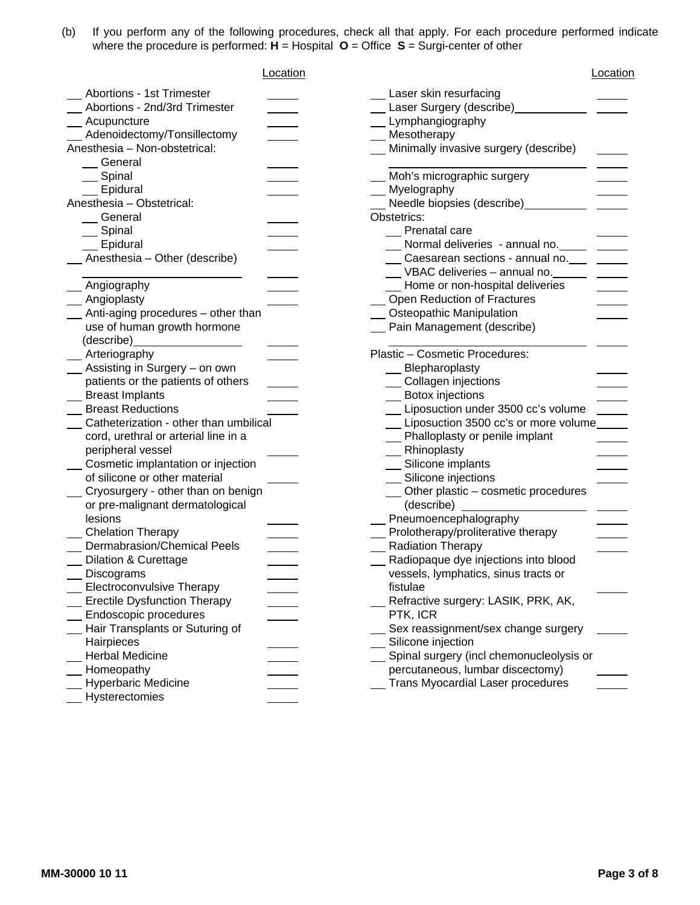(b) If you perform any of the following procedures, check all that apply. For each procedure performed indicate where the procedure is performed: **H** = Hospital **O** = Office **S** = Surgi-center of other

| Location                               | Location                                           |
|----------------------------------------|----------------------------------------------------|
| Abortions - 1st Trimester              | Laser skin resurfacing                             |
| Abortions - 2nd/3rd Trimester          | Laser Surgery (describe) Laser                     |
| Acupuncture                            | Lymphangiography                                   |
| Adenoidectomy/Tonsillectomy            | Mesotherapy                                        |
| Anesthesia - Non-obstetrical:          | Minimally invasive surgery (describe)              |
| General                                |                                                    |
| Spinal                                 | Moh's micrographic surgery                         |
| Epidural                               | Myelography                                        |
| Anesthesia - Obstetrical:              | Needle biopsies (describe)___________              |
| General                                | Obstetrics:                                        |
| Spinal                                 | Prenatal care                                      |
| _ Epidural                             | Normal deliveries - annual no. Communist Communist |
| Anesthesia - Other (describe)          | Caesarean sections - annual no.                    |
|                                        | VBAC deliveries - annual no.                       |
| Angiography                            | Home or non-hospital deliveries                    |
| _ Angioplasty                          | Open Reduction of Fractures                        |
| _ Anti-aging procedures - other than   | <b>Osteopathic Manipulation</b>                    |
| use of human growth hormone            | Pain Management (describe)                         |
| (describe)                             |                                                    |
| _ Arteriography                        | Plastic - Cosmetic Procedures:                     |
| _ Assisting in Surgery - on own        | Blepharoplasty                                     |
| patients or the patients of others     | Collagen injections                                |
| <b>Breast Implants</b>                 | Botox injections                                   |
| <b>Breast Reductions</b>               | Liposuction under 3500 cc's volume                 |
| Catheterization - other than umbilical | Liposuction 3500 cc's or more volume               |
| cord, urethral or arterial line in a   | Phalloplasty or penile implant                     |
| peripheral vessel                      | Rhinoplasty                                        |
| Cosmetic implantation or injection     | Silicone implants                                  |
| of silicone or other material          | Silicone injections                                |
| Cryosurgery - other than on benign     | __ Other plastic - cosmetic procedures             |
| or pre-malignant dermatological        | (describe)                                         |
| lesions                                | Pneumoencephalography                              |
| <b>Chelation Therapy</b>               | Prolotherapy/proliterative therapy                 |
| <b>Dermabrasion/Chemical Peels</b>     | <b>Radiation Therapy</b>                           |
| <b>Dilation &amp; Curettage</b>        | Radiopaque dye injections into blood               |
| Discograms                             | vessels, lymphatics, sinus tracts or               |
| <b>Electroconvulsive Therapy</b>       | fistulae                                           |
| <b>Erectile Dysfunction Therapy</b>    | Refractive surgery: LASIK, PRK, AK,                |
| Endoscopic procedures                  | PTK, ICR                                           |
| Hair Transplants or Suturing of        | Sex reassignment/sex change surgery                |
| Hairpieces                             | Silicone injection                                 |
| <b>Herbal Medicine</b>                 | Spinal surgery (incl chemonucleolysis or           |
| Homeopathy                             | percutaneous, lumbar discectomy)                   |
| <b>Hyperbaric Medicine</b>             | Trans Myocardial Laser procedures                  |
| Hysterectomies                         |                                                    |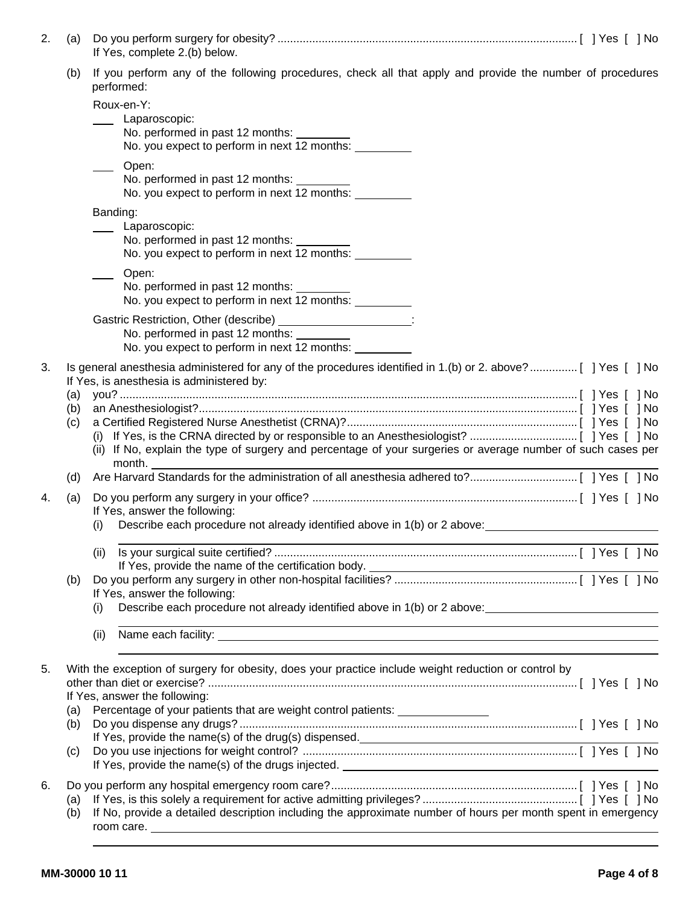| 2.       | (a)        | If Yes, complete 2.(b) below.                                                                                                                            |
|----------|------------|----------------------------------------------------------------------------------------------------------------------------------------------------------|
|          | (b)        | If you perform any of the following procedures, check all that apply and provide the number of procedures<br>performed:                                  |
|          |            | Roux-en-Y:                                                                                                                                               |
|          |            | Laparoscopic:                                                                                                                                            |
|          |            | No. performed in past 12 months: ________<br>No. you expect to perform in next 12 months:                                                                |
|          |            |                                                                                                                                                          |
|          |            | Open:<br>No. performed in past 12 months:                                                                                                                |
|          |            | No. you expect to perform in next 12 months:                                                                                                             |
|          |            | Banding:                                                                                                                                                 |
|          |            | Laparoscopic:                                                                                                                                            |
|          |            | No. performed in past 12 months:                                                                                                                         |
|          |            | No. you expect to perform in next 12 months:                                                                                                             |
|          |            | Open:                                                                                                                                                    |
|          |            | No. performed in past 12 months:                                                                                                                         |
|          |            | No. you expect to perform in next 12 months:                                                                                                             |
|          |            | Gastric Restriction, Other (describe) ____________________:                                                                                              |
|          |            | No. performed in past 12 months:<br>No. you expect to perform in next 12 months:                                                                         |
|          |            |                                                                                                                                                          |
|          |            | Is general anesthesia administered for any of the procedures identified in 1.(b) or 2. above?[ ] Yes [ ] No<br>If Yes, is anesthesia is administered by: |
|          | (a)        |                                                                                                                                                          |
| 3.<br>4. | (b)        |                                                                                                                                                          |
|          | (c)        |                                                                                                                                                          |
|          |            | (ii) If No, explain the type of surgery and percentage of your surgeries or average number of such cases per                                             |
|          |            | month.                                                                                                                                                   |
|          | (d)        |                                                                                                                                                          |
|          | (a)        |                                                                                                                                                          |
|          |            | If Yes, answer the following:                                                                                                                            |
|          |            | Describe each procedure not already identified above in 1(b) or 2 above:<br>(i)                                                                          |
|          |            | (ii)                                                                                                                                                     |
|          |            | If Yes, provide the name of the certification body.                                                                                                      |
|          | (b)        | If Yes, answer the following:                                                                                                                            |
|          |            | Describe each procedure not already identified above in 1(b) or 2 above:<br>(1)                                                                          |
|          |            | <u> 1989 - Johann Barn, amerikan bernama di sebagai bernama dan bernama di sebagai bernama dalam bernama dalam b</u>                                     |
|          |            | (ii)                                                                                                                                                     |
| 5.       |            | With the exception of surgery for obesity, does your practice include weight reduction or control by                                                     |
|          |            |                                                                                                                                                          |
|          |            | If Yes, answer the following:                                                                                                                            |
|          | (a)<br>(b) | Percentage of your patients that are weight control patients: _________________                                                                          |
|          |            |                                                                                                                                                          |
|          | (c)        |                                                                                                                                                          |
|          |            |                                                                                                                                                          |
| 6.       |            |                                                                                                                                                          |
|          | (a)        |                                                                                                                                                          |
|          | (b)        | If No, provide a detailed description including the approximate number of hours per month spent in emergency<br>room care. ___________                   |
|          |            |                                                                                                                                                          |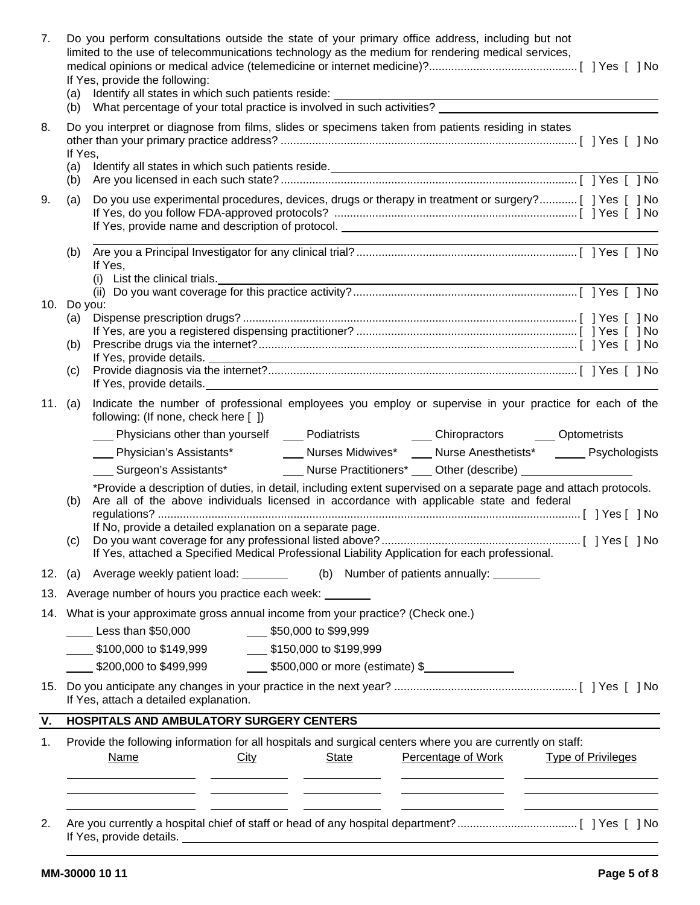| 7.  | (b)                                                                                                                          | Do you perform consultations outside the state of your primary office address, including but not<br>limited to the use of telecommunications technology as the medium for rendering medical services,<br>If Yes, provide the following:<br>(a) Identify all states in which such patients reside:<br>What percentage of your total practice is involved in such activities?                                                                                                                 |  |  |  |  |
|-----|------------------------------------------------------------------------------------------------------------------------------|---------------------------------------------------------------------------------------------------------------------------------------------------------------------------------------------------------------------------------------------------------------------------------------------------------------------------------------------------------------------------------------------------------------------------------------------------------------------------------------------|--|--|--|--|
| 8.  | Do you interpret or diagnose from films, slides or specimens taken from patients residing in states<br>If Yes,<br>(a)<br>(b) |                                                                                                                                                                                                                                                                                                                                                                                                                                                                                             |  |  |  |  |
| 9.  | (a)                                                                                                                          | Do you use experimental procedures, devices, drugs or therapy in treatment or surgery?[ ] Yes [ ] No<br>If Yes, provide name and description of protocol.                                                                                                                                                                                                                                                                                                                                   |  |  |  |  |
|     | (b)                                                                                                                          | If Yes,                                                                                                                                                                                                                                                                                                                                                                                                                                                                                     |  |  |  |  |
|     | 10. Do you:                                                                                                                  |                                                                                                                                                                                                                                                                                                                                                                                                                                                                                             |  |  |  |  |
|     | (a)                                                                                                                          |                                                                                                                                                                                                                                                                                                                                                                                                                                                                                             |  |  |  |  |
|     | (b)                                                                                                                          |                                                                                                                                                                                                                                                                                                                                                                                                                                                                                             |  |  |  |  |
|     | (c)                                                                                                                          | If Yes, provide details.                                                                                                                                                                                                                                                                                                                                                                                                                                                                    |  |  |  |  |
| 11. | (a)                                                                                                                          | Indicate the number of professional employees you employ or supervise in your practice for each of the<br>following: (If none, check here [ ])                                                                                                                                                                                                                                                                                                                                              |  |  |  |  |
|     |                                                                                                                              | Chiropractors ______ Optometrists                                                                                                                                                                                                                                                                                                                                                                                                                                                           |  |  |  |  |
|     |                                                                                                                              | Enter Sommings, Physician's Assistants* The Course Survey Nurses Midwives* The Nurse Anesthetists* The Psychologists                                                                                                                                                                                                                                                                                                                                                                        |  |  |  |  |
|     |                                                                                                                              | Surgeon's Assistants* The Murse Practitioners* Latin Other (describe)                                                                                                                                                                                                                                                                                                                                                                                                                       |  |  |  |  |
|     | (b)                                                                                                                          | *Provide a description of duties, in detail, including extent supervised on a separate page and attach protocols.<br>Are all of the above individuals licensed in accordance with applicable state and federal                                                                                                                                                                                                                                                                              |  |  |  |  |
|     | (c)                                                                                                                          | If No, provide a detailed explanation on a separate page.<br>If Yes, attached a Specified Medical Professional Liability Application for each professional.                                                                                                                                                                                                                                                                                                                                 |  |  |  |  |
|     |                                                                                                                              | 12. (a) Average weekly patient load: _________ (b) Number of patients annually: _______                                                                                                                                                                                                                                                                                                                                                                                                     |  |  |  |  |
| 13. |                                                                                                                              | Average number of hours you practice each week: _______                                                                                                                                                                                                                                                                                                                                                                                                                                     |  |  |  |  |
|     | 14. What is your approximate gross annual income from your practice? (Check one.)                                            |                                                                                                                                                                                                                                                                                                                                                                                                                                                                                             |  |  |  |  |
|     | Less than \$50,000 550,000 to \$99,999                                                                                       |                                                                                                                                                                                                                                                                                                                                                                                                                                                                                             |  |  |  |  |
|     | \$100,000 to \$149,999 \$150,000 to \$199,999                                                                                |                                                                                                                                                                                                                                                                                                                                                                                                                                                                                             |  |  |  |  |
|     |                                                                                                                              | \$200,000 to \$499,999 _________ \$500,000 or more (estimate) \$                                                                                                                                                                                                                                                                                                                                                                                                                            |  |  |  |  |
| 15. |                                                                                                                              | If Yes, attach a detailed explanation.                                                                                                                                                                                                                                                                                                                                                                                                                                                      |  |  |  |  |
| ۷.  |                                                                                                                              | HOSPITALS AND AMBULATORY SURGERY CENTERS                                                                                                                                                                                                                                                                                                                                                                                                                                                    |  |  |  |  |
| 1.  |                                                                                                                              | Provide the following information for all hospitals and surgical centers where you are currently on staff:<br>Percentage of Work<br><b>Type of Privileges</b><br>Name<br>City<br>State<br><u> 1989 - Johann Barn, mars eta bainar eta idazlea (</u><br><u>and the state of the state of the state of the state of the state of the state of the state of the state of the state of the state of the state of the state of the state of the state of the state of the state of the state</u> |  |  |  |  |
|     |                                                                                                                              |                                                                                                                                                                                                                                                                                                                                                                                                                                                                                             |  |  |  |  |
| 2.  |                                                                                                                              | If Yes, provide details.<br><u> 1989 - Johann Stoff, deutscher Stoffen und der Stoffen und der Stoffen und der Stoffen und der Stoffen und der</u>                                                                                                                                                                                                                                                                                                                                          |  |  |  |  |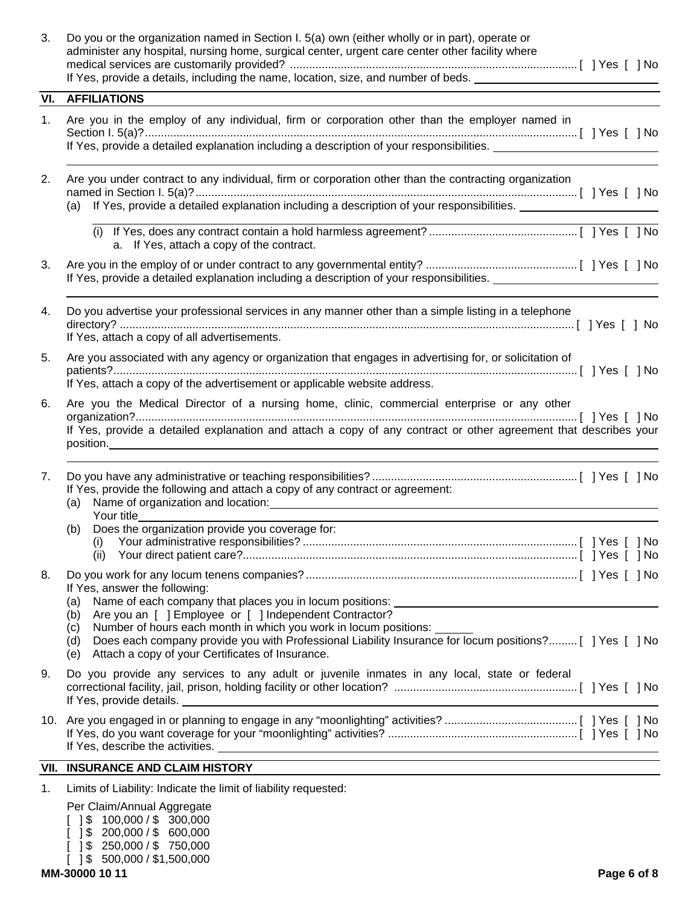| 3. | Do you or the organization named in Section I. 5(a) own (either wholly or in part), operate or<br>administer any hospital, nursing home, surgical center, urgent care center other facility where<br>If Yes, provide a details, including the name, location, size, and number of beds. __________________________                                             |
|----|----------------------------------------------------------------------------------------------------------------------------------------------------------------------------------------------------------------------------------------------------------------------------------------------------------------------------------------------------------------|
|    | <b>VI. AFFILIATIONS</b>                                                                                                                                                                                                                                                                                                                                        |
| 1. | Are you in the employ of any individual, firm or corporation other than the employer named in<br>If Yes, provide a detailed explanation including a description of your responsibilities.                                                                                                                                                                      |
| 2. | Are you under contract to any individual, firm or corporation other than the contracting organization                                                                                                                                                                                                                                                          |
|    | a. If Yes, attach a copy of the contract.                                                                                                                                                                                                                                                                                                                      |
| 3. | If Yes, provide a detailed explanation including a description of your responsibilities.                                                                                                                                                                                                                                                                       |
| 4. | Do you advertise your professional services in any manner other than a simple listing in a telephone<br>If Yes, attach a copy of all advertisements.                                                                                                                                                                                                           |
| 5. | Are you associated with any agency or organization that engages in advertising for, or solicitation of<br>If Yes, attach a copy of the advertisement or applicable website address.                                                                                                                                                                            |
| 6. | Are you the Medical Director of a nursing home, clinic, commercial enterprise or any other<br>If Yes, provide a detailed explanation and attach a copy of any contract or other agreement that describes your                                                                                                                                                  |
| 7. | If Yes, provide the following and attach a copy of any contract or agreement:<br>(a) Name of organization and location:<br>Your title                                                                                                                                                                                                                          |
|    | (b) Does the organization provide you coverage for:<br>(ii)                                                                                                                                                                                                                                                                                                    |
| 8. | If Yes, answer the following:<br>Name of each company that places you in locum positions:<br>(a)<br>Are you an [ ] Employee or [ ] Independent Contractor?<br>(b)<br>Number of hours each month in which you work in locum positions:<br>(c)<br>Does each company provide you with Professional Liability Insurance for locum positions? [   Yes [   No<br>(d) |
| 9. | Attach a copy of your Certificates of Insurance.<br>(e)<br>Do you provide any services to any adult or juvenile inmates in any local, state or federal<br>If Yes, provide details.                                                                                                                                                                             |
|    |                                                                                                                                                                                                                                                                                                                                                                |
|    | <b>VII. INSURANCE AND CLAIM HISTORY</b>                                                                                                                                                                                                                                                                                                                        |
| 1. | Limits of Liability: Indicate the limit of liability requested:                                                                                                                                                                                                                                                                                                |
|    | Per Claim/Annual Aggregate<br>\$100,000 / \$300,000                                                                                                                                                                                                                                                                                                            |

 $[$  ] \$ 200,000 / \$ 600,000 [ ] \$ 250,000 / \$ 750,000  $[$  ] \$ 500,000 / \$1,500,000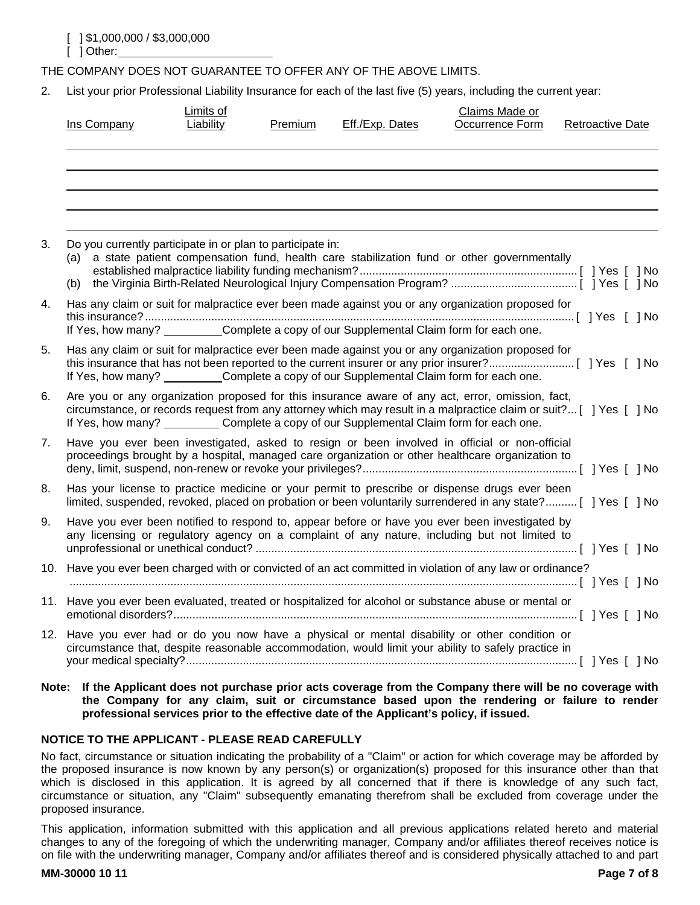THE COMPANY DOES NOT GUARANTEE TO OFFER ANY OF THE ABOVE LIMITS.

2. List your prior Professional Liability Insurance for each of the last five (5) years, including the current year:

|    | Ins Company                                                | Limits of<br>Liability | Premium | Eff./Exp. Dates | Claims Made or<br>Occurrence Form                                                                                                                                                                                                                                                                                    | <b>Retroactive Date</b> |
|----|------------------------------------------------------------|------------------------|---------|-----------------|----------------------------------------------------------------------------------------------------------------------------------------------------------------------------------------------------------------------------------------------------------------------------------------------------------------------|-------------------------|
|    |                                                            |                        |         |                 |                                                                                                                                                                                                                                                                                                                      |                         |
| 3. | Do you currently participate in or plan to participate in: |                        |         |                 | (a) a state patient compensation fund, health care stabilization fund or other governmentally                                                                                                                                                                                                                        |                         |
| 4. |                                                            |                        |         |                 | Has any claim or suit for malpractice ever been made against you or any organization proposed for<br>If Yes, how many? __________Complete a copy of our Supplemental Claim form for each one.                                                                                                                        |                         |
| 5. |                                                            |                        |         |                 | Has any claim or suit for malpractice ever been made against you or any organization proposed for<br>If Yes, how many? ___________Complete a copy of our Supplemental Claim form for each one.                                                                                                                       |                         |
| 6. |                                                            |                        |         |                 | Are you or any organization proposed for this insurance aware of any act, error, omission, fact,<br>circumstance, or records request from any attorney which may result in a malpractice claim or suit? [ ] Yes [ ] No<br>If Yes, how many? ___________ Complete a copy of our Supplemental Claim form for each one. |                         |
| 7. |                                                            |                        |         |                 | Have you ever been investigated, asked to resign or been involved in official or non-official<br>proceedings brought by a hospital, managed care organization or other healthcare organization to                                                                                                                    |                         |
| 8. |                                                            |                        |         |                 | Has your license to practice medicine or your permit to prescribe or dispense drugs ever been<br>limited, suspended, revoked, placed on probation or been voluntarily surrendered in any state? [ ] Yes [ ] No                                                                                                       |                         |
| 9. |                                                            |                        |         |                 | Have you ever been notified to respond to, appear before or have you ever been investigated by<br>any licensing or regulatory agency on a complaint of any nature, including but not limited to                                                                                                                      |                         |
|    |                                                            |                        |         |                 | 10. Have you ever been charged with or convicted of an act committed in violation of any law or ordinance?                                                                                                                                                                                                           |                         |
|    |                                                            |                        |         |                 | 11. Have you ever been evaluated, treated or hospitalized for alcohol or substance abuse or mental or                                                                                                                                                                                                                |                         |
|    |                                                            |                        |         |                 | 12. Have you ever had or do you now have a physical or mental disability or other condition or<br>circumstance that, despite reasonable accommodation, would limit your ability to safely practice in                                                                                                                |                         |

**Note: If the Applicant does not purchase prior acts coverage from the Company there will be no coverage with the Company for any claim, suit or circumstance based upon the rendering or failure to render professional services prior to the effective date of the Applicant's policy, if issued.** 

## **NOTICE TO THE APPLICANT - PLEASE READ CAREFULLY**

No fact, circumstance or situation indicating the probability of a "Claim" or action for which coverage may be afforded by the proposed insurance is now known by any person(s) or organization(s) proposed for this insurance other than that which is disclosed in this application. It is agreed by all concerned that if there is knowledge of any such fact, circumstance or situation, any "Claim" subsequently emanating therefrom shall be excluded from coverage under the proposed insurance.

This application, information submitted with this application and all previous applications related hereto and material changes to any of the foregoing of which the underwriting manager, Company and/or affiliates thereof receives notice is on file with the underwriting manager, Company and/or affiliates thereof and is considered physically attached to and part